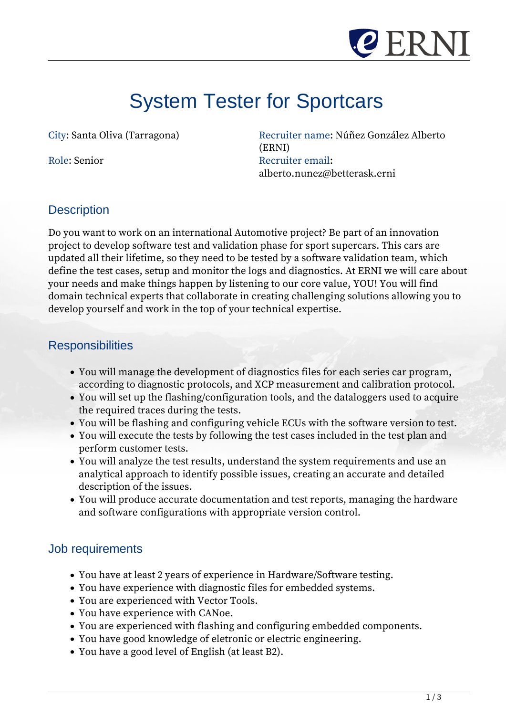

# System Tester for Sportcars

*City: Santa Oliva (Tarragona) Recruiter name: Núñez González Alberto (ERNI) Role: Senior Recruiter email: alberto.nunez@betterask.erni*

### **Description**

*Do you want to work on an international Automotive project? Be part of an innovation project to develop software test and validation phase for sport supercars. This cars are updated all their lifetime, so they need to be tested by a software validation team, which define the test cases, setup and monitor the logs and diagnostics. At ERNI we will care about your needs and make things happen by listening to our core value, YOU! You will find domain technical experts that collaborate in creating challenging solutions allowing you to develop yourself and work in the top of your technical expertise.*

### **Responsibilities**

- *You will manage the development of diagnostics files for each series car program, according to diagnostic protocols, and XCP measurement and calibration protocol.*
- *You will set up the flashing/configuration tools, and the dataloggers used to acquire the required traces during the tests.*
- *You will be flashing and configuring vehicle ECUs with the software version to test.*
- *You will execute the tests by following the test cases included in the test plan and perform customer tests.*
- *You will analyze the test results, understand the system requirements and use an analytical approach to identify possible issues, creating an accurate and detailed description of the issues.*
- *You will produce accurate documentation and test reports, managing the hardware and software configurations with appropriate version control.*

### Job requirements

- *You have at least 2 years of experience in Hardware/Software testing.*
- *You have experience with diagnostic files for embedded systems.*
- *You are experienced with Vector Tools.*
- *You have experience with CANoe.*
- *You are experienced with flashing and configuring embedded components.*
- *You have good knowledge of eletronic or electric engineering.*
- *You have a good level of English (at least B2).*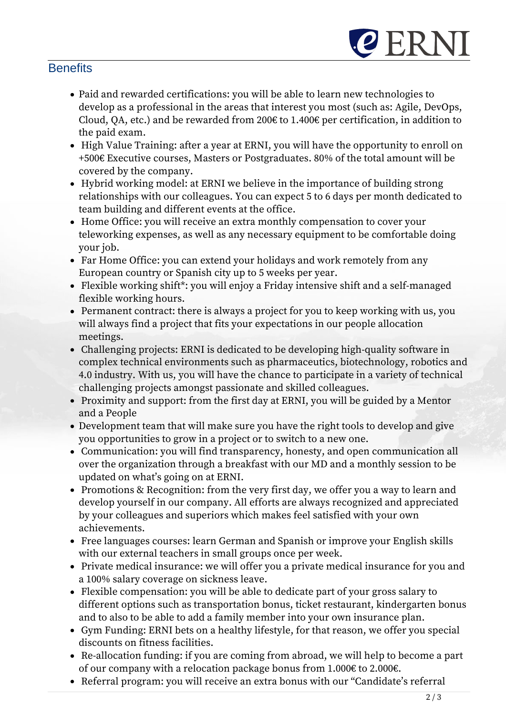## **Benefits**

*Paid and rewarded certifications: you will be able to learn new technologies to develop as a professional in the areas that interest you most (such as: Agile, DevOps, Cloud, QA, etc.) and be rewarded from 200€ to 1.400€ per certification, in addition to the paid exam.*

**CERN** 

- *High Value Training: after a year at ERNI, you will have the opportunity to enroll on +500€ Executive courses, Masters or Postgraduates. 80% of the total amount will be covered by the company.*
- *Hybrid working model: at ERNI we believe in the importance of building strong relationships with our colleagues. You can expect 5 to 6 days per month dedicated to team building and different events at the office.*
- *Home Office: you will receive an extra monthly compensation to cover your teleworking expenses, as well as any necessary equipment to be comfortable doing your job.*
- *Far Home Office: you can extend your holidays and work remotely from any European country or Spanish city up to 5 weeks per year.*
- *Flexible working shift\*: you will enjoy a Friday intensive shift and a self-managed flexible working hours.*
- *Permanent contract: there is always a project for you to keep working with us, you will always find a project that fits your expectations in our people allocation meetings.*
- *Challenging projects: ERNI is dedicated to be developing high-quality software in complex technical environments such as pharmaceutics, biotechnology, robotics and 4.0 industry. With us, you will have the chance to participate in a variety of technical challenging projects amongst passionate and skilled colleagues.*
- *Proximity and support: from the first day at ERNI, you will be guided by a Mentor and a People*
- *Development team that will make sure you have the right tools to develop and give you opportunities to grow in a project or to switch to a new one.*
- *Communication: you will find transparency, honesty, and open communication all over the organization through a breakfast with our MD and a monthly session to be updated on what's going on at ERNI.*
- *Promotions & Recognition: from the very first day, we offer you a way to learn and develop yourself in our company. All efforts are always recognized and appreciated by your colleagues and superiors which makes feel satisfied with your own achievements.*
- *Free languages courses: learn German and Spanish or improve your English skills with our external teachers in small groups once per week.*
- *Private medical insurance: we will offer you a private medical insurance for you and a 100% salary coverage on sickness leave.*
- *Flexible compensation: you will be able to dedicate part of your gross salary to different options such as transportation bonus, ticket restaurant, kindergarten bonus and to also to be able to add a family member into your own insurance plan.*
- *Gym Funding: ERNI bets on a healthy lifestyle, for that reason, we offer you special discounts on fitness facilities.*
- *Re-allocation funding: if you are coming from abroad, we will help to become a part of our company with a relocation package bonus from 1.000€ to 2.000€.*
- *Referral program: you will receive an extra bonus with our "Candidate's referral*